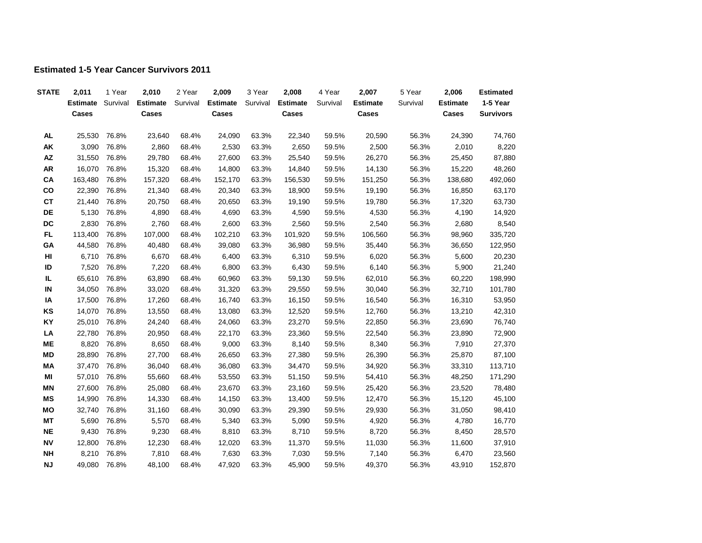## **Estimated 1-5 Year Cancer Survivors 2011**

| <b>STATE</b> | 2,011            | 1 Year         | 2,010             | 2 Year         | 2,009             | 3 Year         | 2,008             | 4 Year         | 2,007             | 5 Year         | 2,006             | <b>Estimated</b> |
|--------------|------------------|----------------|-------------------|----------------|-------------------|----------------|-------------------|----------------|-------------------|----------------|-------------------|------------------|
|              | <b>Estimate</b>  | Survival       | <b>Estimate</b>   | Survival       | <b>Estimate</b>   | Survival       | <b>Estimate</b>   | Survival       | <b>Estimate</b>   | Survival       | <b>Estimate</b>   | 1-5 Year         |
|              | Cases            |                | Cases             |                | Cases             |                | Cases             |                | Cases             |                | Cases             | <b>Survivors</b> |
|              | 25,530           | 76.8%          | 23,640            | 68.4%          | 24,090            | 63.3%          | 22,340            | 59.5%          | 20,590            | 56.3%          | 24,390            | 74,760           |
| AL           |                  |                |                   |                |                   |                |                   |                |                   |                |                   |                  |
| AK<br>AZ     | 3,090            | 76.8%          | 2,860             | 68.4%          | 2,530             | 63.3%          | 2,650             | 59.5%          | 2,500             | 56.3%          | 2,010             | 8,220            |
| <b>AR</b>    | 31,550<br>16,070 | 76.8%<br>76.8% | 29,780<br>15,320  | 68.4%          | 27,600<br>14,800  | 63.3%<br>63.3% | 25,540<br>14,840  | 59.5%          | 26,270            | 56.3%<br>56.3% | 25,450<br>15,220  | 87,880<br>48,260 |
| CA           | 163,480          |                |                   | 68.4%          |                   |                |                   | 59.5%          | 14,130            |                |                   | 492,060          |
| co           | 22,390           | 76.8%<br>76.8% | 157,320<br>21,340 | 68.4%<br>68.4% | 152,170<br>20,340 | 63.3%<br>63.3% | 156,530<br>18,900 | 59.5%<br>59.5% | 151,250<br>19,190 | 56.3%<br>56.3% | 138,680<br>16,850 | 63,170           |
| <b>CT</b>    | 21,440           | 76.8%          | 20,750            | 68.4%          | 20,650            |                |                   |                |                   |                | 17,320            |                  |
| DE           | 5,130            |                |                   |                |                   | 63.3%          | 19,190            | 59.5%          | 19,780            | 56.3%          |                   | 63,730           |
|              |                  | 76.8%          | 4,890             | 68.4%          | 4,690             | 63.3%          | 4,590             | 59.5%          | 4,530             | 56.3%          | 4,190             | 14,920           |
| DC<br>FL.    | 2,830            | 76.8%          | 2,760             | 68.4%          | 2,600             | 63.3%          | 2,560             | 59.5%          | 2,540             | 56.3%          | 2,680             | 8,540            |
|              | 113,400          | 76.8%          | 107,000           | 68.4%          | 102,210           | 63.3%          | 101,920           | 59.5%          | 106,560           | 56.3%          | 98,960            | 335,720          |
| GA           | 44,580           | 76.8%          | 40,480            | 68.4%          | 39,080            | 63.3%          | 36,980            | 59.5%          | 35,440            | 56.3%          | 36,650            | 122,950          |
| HI           | 6,710            | 76.8%          | 6,670             | 68.4%          | 6,400             | 63.3%          | 6,310             | 59.5%          | 6,020             | 56.3%          | 5,600             | 20,230           |
| ID           | 7,520            | 76.8%          | 7,220             | 68.4%          | 6,800             | 63.3%          | 6,430             | 59.5%          | 6,140             | 56.3%          | 5,900             | 21,240           |
| IL           | 65,610           | 76.8%          | 63,890            | 68.4%          | 60,960            | 63.3%          | 59,130            | 59.5%          | 62,010            | 56.3%          | 60,220            | 198,990          |
| IN           | 34,050           | 76.8%          | 33,020            | 68.4%          | 31,320            | 63.3%          | 29,550            | 59.5%          | 30,040            | 56.3%          | 32,710            | 101,780          |
| IA           | 17,500           | 76.8%          | 17,260            | 68.4%          | 16,740            | 63.3%          | 16,150            | 59.5%          | 16,540            | 56.3%          | 16,310            | 53,950           |
| KS           | 14,070           | 76.8%          | 13,550            | 68.4%          | 13,080            | 63.3%          | 12,520            | 59.5%          | 12,760            | 56.3%          | 13,210            | 42,310           |
| KY           | 25,010           | 76.8%          | 24,240            | 68.4%          | 24,060            | 63.3%          | 23,270            | 59.5%          | 22,850            | 56.3%          | 23,690            | 76,740           |
| LA           | 22,780           | 76.8%          | 20,950            | 68.4%          | 22,170            | 63.3%          | 23,360            | 59.5%          | 22,540            | 56.3%          | 23,890            | 72,900           |
| <b>ME</b>    | 8,820            | 76.8%          | 8,650             | 68.4%          | 9,000             | 63.3%          | 8,140             | 59.5%          | 8,340             | 56.3%          | 7,910             | 27,370           |
| MD           | 28,890           | 76.8%          | 27,700            | 68.4%          | 26,650            | 63.3%          | 27,380            | 59.5%          | 26,390            | 56.3%          | 25,870            | 87,100           |
| ΜA           | 37,470           | 76.8%          | 36,040            | 68.4%          | 36,080            | 63.3%          | 34,470            | 59.5%          | 34,920            | 56.3%          | 33,310            | 113,710          |
| МI           | 57,010           | 76.8%          | 55,660            | 68.4%          | 53,550            | 63.3%          | 51,150            | 59.5%          | 54,410            | 56.3%          | 48,250            | 171,290          |
| <b>MN</b>    | 27,600           | 76.8%          | 25,080            | 68.4%          | 23,670            | 63.3%          | 23,160            | 59.5%          | 25,420            | 56.3%          | 23,520            | 78,480           |
| <b>MS</b>    | 14,990           | 76.8%          | 14,330            | 68.4%          | 14,150            | 63.3%          | 13,400            | 59.5%          | 12,470            | 56.3%          | 15,120            | 45,100           |
| MO           | 32,740           | 76.8%          | 31,160            | 68.4%          | 30,090            | 63.3%          | 29,390            | 59.5%          | 29,930            | 56.3%          | 31,050            | 98,410           |
| МT           | 5,690            | 76.8%          | 5,570             | 68.4%          | 5,340             | 63.3%          | 5,090             | 59.5%          | 4,920             | 56.3%          | 4,780             | 16,770           |
| <b>NE</b>    | 9,430            | 76.8%          | 9,230             | 68.4%          | 8,810             | 63.3%          | 8,710             | 59.5%          | 8,720             | 56.3%          | 8,450             | 28,570           |
| <b>NV</b>    | 12,800           | 76.8%          | 12,230            | 68.4%          | 12,020            | 63.3%          | 11,370            | 59.5%          | 11,030            | 56.3%          | 11,600            | 37,910           |
| <b>NH</b>    | 8,210            | 76.8%          | 7,810             | 68.4%          | 7,630             | 63.3%          | 7,030             | 59.5%          | 7,140             | 56.3%          | 6,470             | 23,560           |
| <b>NJ</b>    | 49,080           | 76.8%          | 48,100            | 68.4%          | 47,920            | 63.3%          | 45,900            | 59.5%          | 49,370            | 56.3%          | 43,910            | 152,870          |